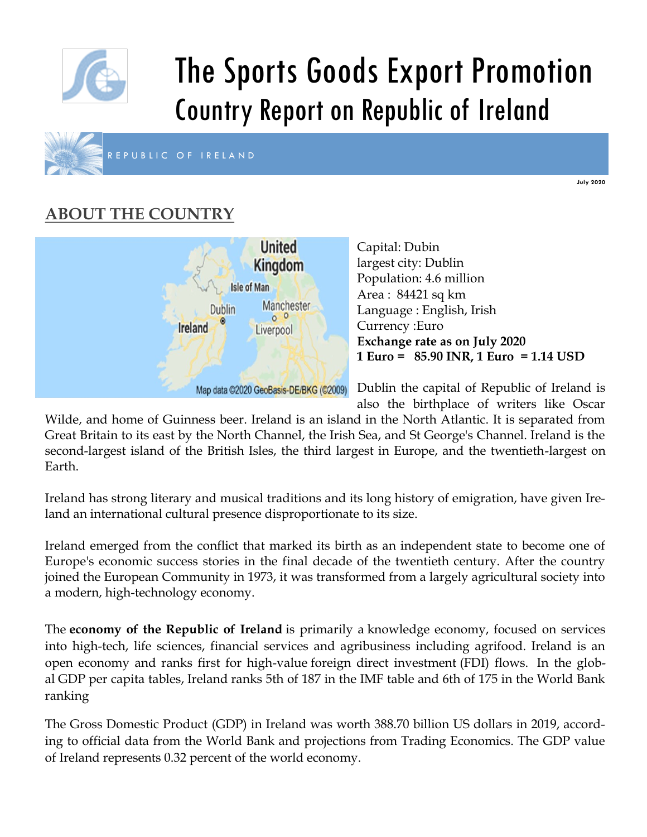

# The Sports Goods Export Promotion Country Report on Republic of Ireland



R E P U B L I C O F I R E L A N D

#### **July 2020**

# **ABOUT THE COUNTRY**



Capital: Dubin largest city: Dublin Population: 4.6 million Area : 84421 sq km Language : English, Irish Currency :Euro **Exchange rate as on July 2020 1 Euro = 85.90 INR, 1 Euro = 1.14 USD** 

Dublin the capital of Republic of Ireland is also the birthplace of writers like Oscar

Wilde, and home of Guinness beer. Ireland is an island in the North Atlantic. It is separated from Great Britain to its east by the North Channel, the Irish Sea, and St George's Channel. Ireland is the second-largest island of the British Isles, the third largest in Europe, and the twentieth-largest on Earth.

Ireland has strong literary and musical traditions and its long history of emigration, have given Ireland an international cultural presence disproportionate to its size.

Ireland emerged from the conflict that marked its birth as an independent state to become one of Europe's economic success stories in the final decade of the twentieth century. After the country joined the European Community in 1973, it was transformed from a largely agricultural society into a modern, high-technology economy.

The **economy of the Republic of Ireland** is primarily a knowledge economy, focused on services into high-tech, life sciences, financial services and agribusiness including agrifood. Ireland is an open economy and ranks first for high-value foreign direct investment (FDI) flows. In the global GDP per capita tables, Ireland ranks 5th of 187 in the IMF table and 6th of 175 in the World Bank ranking

The Gross Domestic Product (GDP) in Ireland was worth 388.70 billion US dollars in 2019, according to official data from the World Bank and projections from Trading Economics. The GDP value of Ireland represents 0.32 percent of the world economy.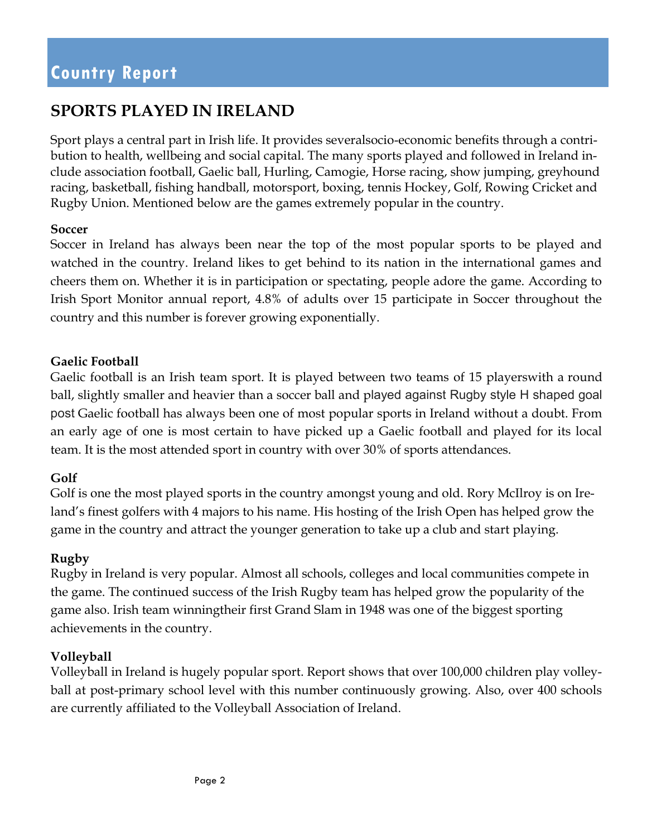### **SPORTS PLAYED IN IRELAND**

Sport plays a central part in Irish life. It provides severalsocio-economic benefits through a contribution to health, wellbeing and social capital. The many sports played and followed in Ireland include association football, Gaelic ball, Hurling, Camogie, Horse racing, show jumping, greyhound racing, basketball, fishing handball, motorsport, boxing, tennis Hockey, Golf, Rowing Cricket and Rugby Union. Mentioned below are the games extremely popular in the country.

#### **Soccer**

Soccer in Ireland has always been near the top of the most popular sports to be played and watched in the country. Ireland likes to get behind to its nation in the international games and cheers them on. Whether it is in participation or spectating, people adore the game. According to Irish Sport Monitor annual report, 4.8% of adults over 15 participate in Soccer throughout the country and this number is forever growing exponentially.

#### **Gaelic Football**

Gaelic football is an Irish team sport. It is played between two teams of 15 playerswith a round ball, slightly smaller and heavier than a soccer ball and played against Rugby style H shaped goal post Gaelic football has always been one of most popular sports in Ireland without a doubt. From an early age of one is most certain to have picked up a Gaelic football and played for its local team. It is the most attended sport in country with over 30% of sports attendances.

#### **Golf**

Golf is one the most played sports in the country amongst young and old. Rory McIlroy is on Ireland's finest golfers with 4 majors to his name. His hosting of the Irish Open has helped grow the game in the country and attract the younger generation to take up a club and start playing.

#### **Rugby**

Rugby in Ireland is very popular. Almost all schools, colleges and local communities compete in the game. The continued success of the Irish Rugby team has helped grow the popularity of the game also. Irish team winningtheir first Grand Slam in 1948 was one of the biggest sporting achievements in the country.

#### **Volleyball**

Volleyball in Ireland is hugely popular sport. Report shows that over 100,000 children play volleyball at post-primary school level with this number continuously growing. Also, over 400 schools are currently affiliated to the Volleyball Association of Ireland.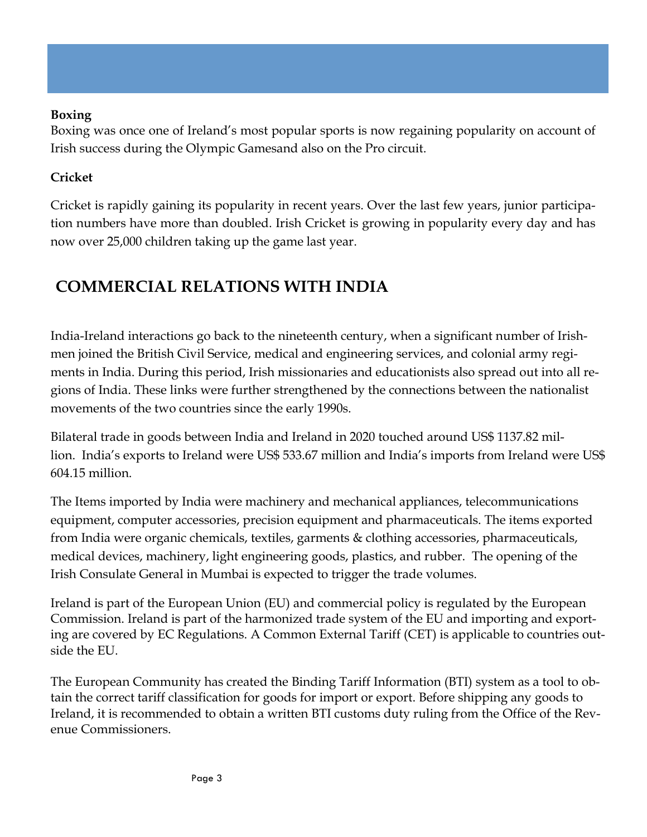### **Boxing**

Boxing was once one of Ireland's most popular sports is now regaining popularity on account of Irish success during the Olympic Gamesand also on the Pro circuit.

### **Cricket**

Cricket is rapidly gaining its popularity in recent years. Over the last few years, junior participation numbers have more than doubled. Irish Cricket is growing in popularity every day and has now over 25,000 children taking up the game last year.

### **COMMERCIAL RELATIONS WITH INDIA**

India-Ireland interactions go back to the nineteenth century, when a significant number of Irishmen joined the British Civil Service, medical and engineering services, and colonial army regiments in India. During this period, Irish missionaries and educationists also spread out into all regions of India. These links were further strengthened by the connections between the nationalist movements of the two countries since the early 1990s.

Bilateral trade in goods between India and Ireland in 2020 touched around US\$ 1137.82 million. India's exports to Ireland were US\$ 533.67 million and India's imports from Ireland were US\$ 604.15 million.

The Items imported by India were machinery and mechanical appliances, telecommunications equipment, computer accessories, precision equipment and pharmaceuticals. The items exported from India were organic chemicals, textiles, garments & clothing accessories, pharmaceuticals, medical devices, machinery, light engineering goods, plastics, and rubber. The opening of the Irish Consulate General in Mumbai is expected to trigger the trade volumes.

Ireland is part of the European Union (EU) and commercial policy is regulated by the European Commission. Ireland is part of the harmonized trade system of the EU and importing and exporting are covered by EC Regulations. A Common External Tariff (CET) is applicable to countries outside the EU.

The European Community has created the Binding Tariff Information (BTI) system as a tool to obtain the correct tariff classification for goods for import or export. Before shipping any goods to Ireland, it is recommended to obtain a written BTI customs duty ruling from the Office of the Revenue Commissioners.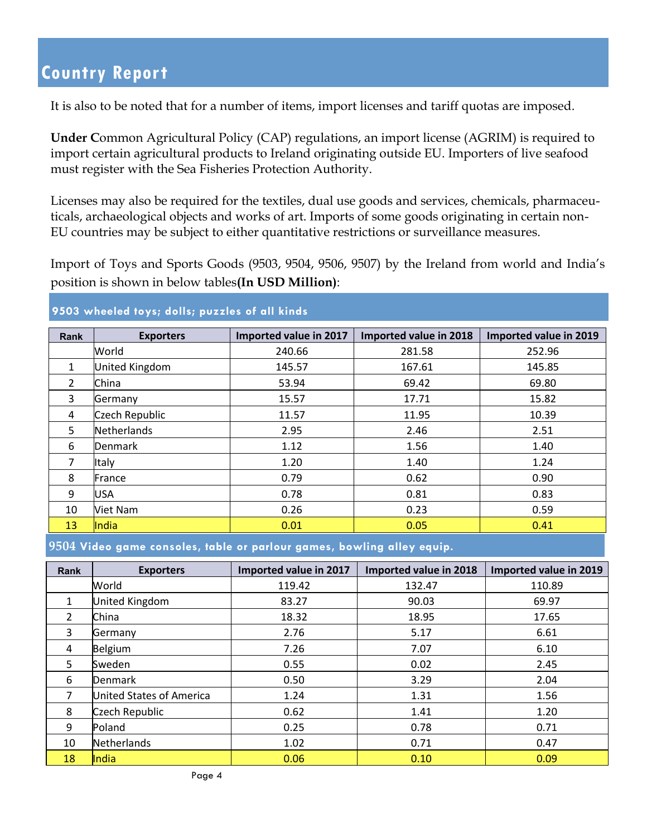It is also to be noted that for a number of items, import licenses and tariff quotas are imposed.

**Under C**ommon Agricultural Policy (CAP) regulations, an import license (AGRIM) is required to import certain agricultural products to Ireland originating outside EU. Importers of live seafood must register with the Sea Fisheries Protection Authority.

Licenses may also be required for the textiles, dual use goods and services, chemicals, pharmaceuticals, archaeological objects and works of art. Imports of some goods originating in certain non-EU countries may be subject to either quantitative restrictions or surveillance measures.

Import of Toys and Sports Goods (9503, 9504, 9506, 9507) by the Ireland from world and India's position is shown in below tables**(In USD Million)**:

#### **9503 wheeled toys; dolls; puzzles of all kinds**

| <b>Rank</b>   | <b>Exporters</b>   | Imported value in 2017 | Imported value in 2018 | Imported value in 2019 |
|---------------|--------------------|------------------------|------------------------|------------------------|
|               | World              | 240.66                 | 281.58                 | 252.96                 |
| $\mathbf{1}$  | United Kingdom     | 145.57                 | 167.61                 | 145.85                 |
| $\mathcal{L}$ | China              | 53.94                  | 69.42                  | 69.80                  |
| 3             | Germany            | 15.57                  | 17.71                  | 15.82                  |
| 4             | Czech Republic     | 11.57                  | 11.95                  | 10.39                  |
| 5             | <b>Netherlands</b> | 2.95                   | 2.46                   | 2.51                   |
| 6             | <b>Denmark</b>     | 1.12                   | 1.56                   | 1.40                   |
| 7             | Italy              | 1.20                   | 1.40                   | 1.24                   |
| 8             | France             | 0.79                   | 0.62                   | 0.90                   |
| 9             | USA                | 0.78                   | 0.81                   | 0.83                   |
| 10            | Viet Nam           | 0.26                   | 0.23                   | 0.59                   |
| 13            | India              | 0.01                   | 0.05                   | 0.41                   |

**9504 Video game consoles, table or parlour games, bowling alley equip.** 

| <b>Rank</b>    | <b>Exporters</b>         | Imported value in 2017 | Imported value in 2018 | Imported value in 2019 |
|----------------|--------------------------|------------------------|------------------------|------------------------|
|                | World                    | 119.42                 | 132.47                 | 110.89                 |
| $\mathbf{1}$   | <b>United Kingdom</b>    | 83.27                  | 90.03                  | 69.97                  |
| $\mathfrak{D}$ | China                    | 18.32                  | 18.95                  | 17.65                  |
| 3              | Germany                  | 2.76                   | 5.17                   | 6.61                   |
| 4              | Belgium                  | 7.26                   | 7.07                   | 6.10                   |
| 5              | Sweden                   | 0.55                   | 0.02                   | 2.45                   |
| 6              | <b>Denmark</b>           | 0.50                   | 3.29                   | 2.04                   |
| 7              | United States of America | 1.24                   | 1.31                   | 1.56                   |
| 8              | Czech Republic           | 0.62                   | 1.41                   | 1.20                   |
| 9              | Poland                   | 0.25                   | 0.78                   | 0.71                   |
| 10             | Netherlands              | 1.02                   | 0.71                   | 0.47                   |
| 18             | India                    | 0.06                   | 0.10                   | 0.09                   |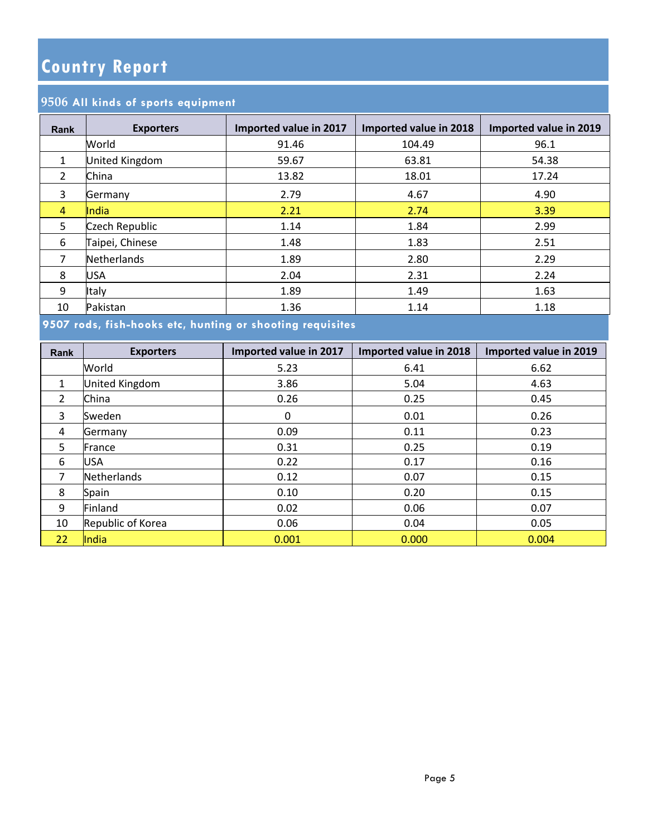### **All kinds of sports equipment**

| <b>Rank</b>    | <b>Exporters</b> | Imported value in 2017 | Imported value in 2018 | Imported value in 2019 |
|----------------|------------------|------------------------|------------------------|------------------------|
|                | World            | 91.46                  | 104.49                 | 96.1                   |
| $\mathbf{1}$   | United Kingdom   | 59.67                  | 63.81                  | 54.38                  |
| $\overline{2}$ | China            | 13.82                  | 18.01                  | 17.24                  |
| 3              | Germany          | 2.79                   | 4.67                   | 4.90                   |
| 4              | <b>India</b>     | 2.21                   | 2.74                   | 3.39                   |
| 5              | Czech Republic   | 1.14                   | 1.84                   | 2.99                   |
| 6              | Taipei, Chinese  | 1.48                   | 1.83                   | 2.51                   |
| 7              | Netherlands      | 1.89                   | 2.80                   | 2.29                   |
| 8              | <b>USA</b>       | 2.04                   | 2.31                   | 2.24                   |
| 9              | Italy            | 1.89                   | 1.49                   | 1.63                   |
| 10             | Pakistan         | 1.36                   | 1.14                   | 1.18                   |

**9507 rods, fish-hooks etc, hunting or shooting requisites** 

| <b>Rank</b>    | <b>Exporters</b>  | Imported value in 2017 | Imported value in 2018 | Imported value in 2019 |
|----------------|-------------------|------------------------|------------------------|------------------------|
|                | World             | 5.23                   | 6.41                   | 6.62                   |
| $\mathbf{1}$   | United Kingdom    | 3.86                   | 5.04                   | 4.63                   |
| $\overline{2}$ | China             | 0.26                   | 0.25                   | 0.45                   |
| 3              | Sweden            | 0                      | 0.01                   | 0.26                   |
| 4              | Germany           | 0.09                   | 0.11                   | 0.23                   |
| 5              | France            | 0.31                   | 0.25                   | 0.19                   |
| 6              | <b>USA</b>        | 0.22                   | 0.17                   | 0.16                   |
| 7              | Netherlands       | 0.12                   | 0.07                   | 0.15                   |
| 8              | Spain             | 0.10                   | 0.20                   | 0.15                   |
| 9              | Finland           | 0.02                   | 0.06                   | 0.07                   |
| 10             | Republic of Korea | 0.06                   | 0.04                   | 0.05                   |
| 22             | India             | 0.001                  | 0.000                  | 0.004                  |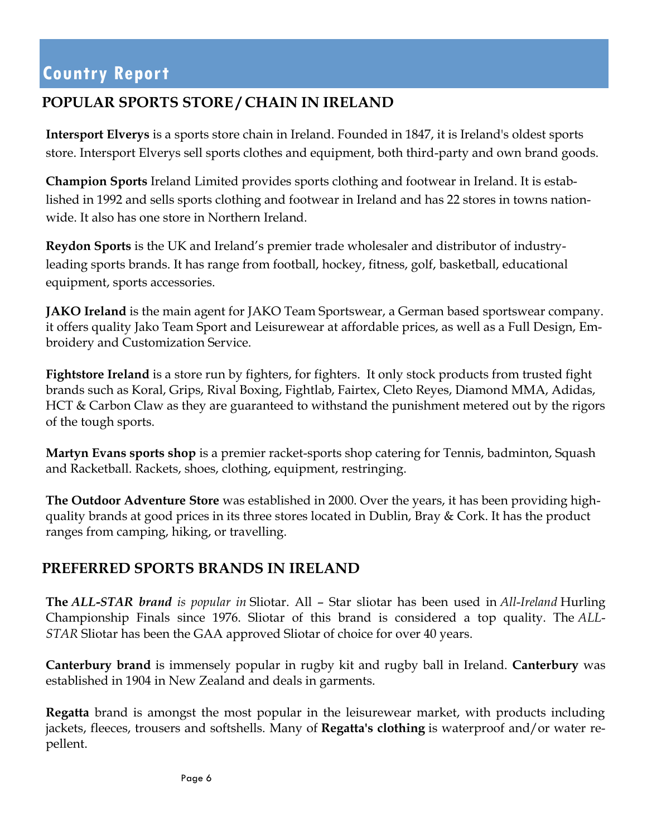### **POPULAR SPORTS STORE / CHAIN IN IRELAND**

**Intersport Elverys** is a sports store chain in Ireland. Founded in 1847, it is Ireland's oldest sports store. Intersport Elverys sell sports clothes and equipment, both third-party and own brand goods.

**Champion Sports** Ireland Limited provides sports clothing and footwear in Ireland. It is established in 1992 and sells sports clothing and footwear in Ireland and has 22 stores in towns nationwide. It also has one store in Northern Ireland.

**Reydon Sports** is the UK and Ireland's premier trade wholesaler and distributor of industryleading sports brands. It has range from football, hockey, fitness, golf, basketball, educational equipment, sports accessories.

**JAKO Ireland** is the main agent for JAKO Team Sportswear, a German based sportswear company. it offers quality Jako Team Sport and Leisurewear at affordable prices, as well as a Full Design, Embroidery and Customization Service.

**Fightstore Ireland** is a store run by fighters, for fighters. It only stock products from trusted fight brands such as Koral, Grips, Rival Boxing, Fightlab, Fairtex, Cleto Reyes, Diamond MMA, Adidas, HCT & Carbon Claw as they are guaranteed to withstand the punishment metered out by the rigors of the tough sports.

**Martyn Evans sports shop** is a premier racket-sports shop catering for Tennis, badminton, Squash and Racketball. Rackets, shoes, clothing, equipment, restringing.

**The Outdoor Adventure Store** was established in 2000. Over the years, it has been providing highquality brands at good prices in its three stores located in Dublin, Bray & Cork. It has the product ranges from camping, hiking, or travelling.

### **PREFERRED SPORTS BRANDS IN IRELAND**

**The** *ALL***-***STAR brand is popular in* Sliotar. All – Star sliotar has been used in *All*-*Ireland* Hurling Championship Finals since 1976. Sliotar of this brand is considered a top quality. The *ALL*-*STAR* Sliotar has been the GAA approved Sliotar of choice for over 40 years.

**Canterbury brand** is immensely popular in rugby kit and rugby ball in Ireland. **Canterbury** was established in 1904 in New Zealand and deals in garments.

**Regatta** brand is amongst the most popular in the leisurewear market, with products including jackets, fleeces, trousers and softshells. Many of **Regatta's clothing** is waterproof and/or water repellent.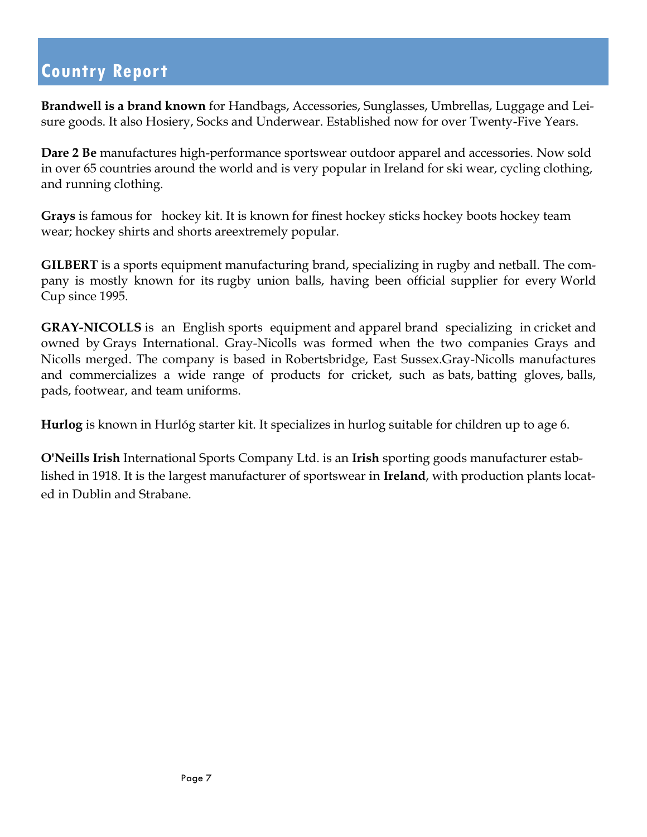**Brandwell is a brand known** for Handbags, Accessories, Sunglasses, Umbrellas, Luggage and Leisure goods. It also Hosiery, Socks and Underwear. Established now for over Twenty-Five Years.

**Dare 2 Be** manufactures high-performance sportswear outdoor apparel and accessories. Now sold in over 65 countries around the world and is very popular in Ireland for ski wear, cycling clothing, and running clothing.

**Grays** is famous for hockey kit. It is known for finest hockey sticks hockey boots hockey team wear; hockey shirts and shorts areextremely popular.

**GILBERT** is a sports equipment manufacturing brand, specializing in rugby and netball. The company is mostly known for its rugby union balls, having been official supplier for every World Cup since 1995.

**GRAY-NICOLLS** is an English sports equipment and apparel brand specializing in cricket and owned by Grays International. Gray-Nicolls was formed when the two companies Grays and Nicolls merged. The company is based in Robertsbridge, East Sussex.Gray-Nicolls manufactures and commercializes a wide range of products for cricket, such as bats, batting gloves, balls, pads, footwear, and team uniforms.

**Hurlog** is known in Hurlóg starter kit. It specializes in hurlog suitable for children up to age 6.

**O'Neills Irish** International Sports Company Ltd. is an **Irish** sporting goods manufacturer established in 1918. It is the largest manufacturer of sportswear in **Ireland**, with production plants located in Dublin and Strabane.